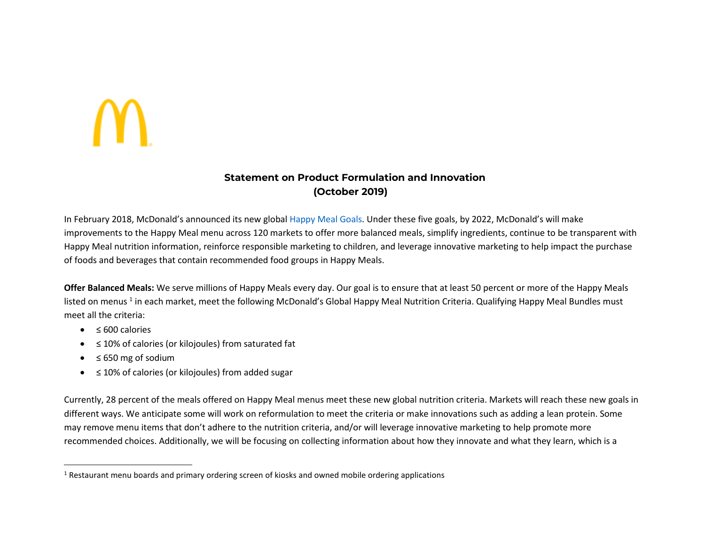## **Statement on Product Formulation and Innovation (October 2019)**

In February 2018, McDonald's announced its new global Happy Meal Goals. Under these five goals, by 2022, McDonald's will make improvements to the Happy Meal menu across 120 markets to offer more balanced meals, simplify ingredients, continue to be transparent with Happy Meal nutrition information, reinforce responsible marketing to children, and leverage innovative marketing to help impact the purchase of foods and beverages that contain recommended food groups in Happy Meals.

**Offer Balanced Meals:** We serve millions of Happy Meals every day. Our goal is to ensure that at least 50 percent or more of the Happy Meals listed on menus <sup>1</sup> in each market, meet the following McDonald's Global Happy Meal Nutrition Criteria. Qualifying Happy Meal Bundles must meet all the criteria:

- ≤ 600 calories
- $\bullet$ ≤ 10% of calories (or kilojoules) from saturated fat
- $\bullet$ ≤ 650 mg of sodium
- $\bullet$ ≤ 10% of calories (or kilojoules) from added sugar

Currently, 28 percent of the meals offered on Happy Meal menus meet these new global nutrition criteria. Markets will reach these new goals in different ways. We anticipate some will work on reformulation to meet the criteria or make innovations such as adding a lean protein. Some may remove menu items that don't adhere to the nutrition criteria, and/or will leverage innovative marketing to help promote more recommended choices. Additionally, we will be focusing on collecting information about how they innovate and what they learn, which is a

 $<sup>1</sup>$  Restaurant menu boards and primary ordering screen of kiosks and owned mobile ordering applications</sup>